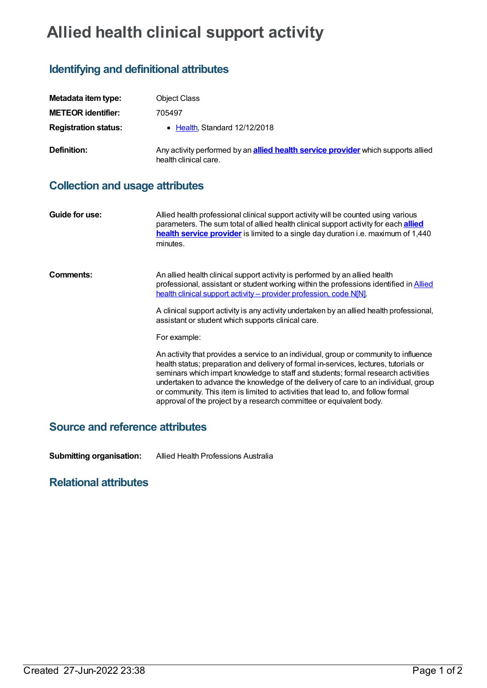# **Allied health clinical support activity**

## **Identifying and definitional attributes**

| Metadata item type:         | <b>Object Class</b>                                                                                               |
|-----------------------------|-------------------------------------------------------------------------------------------------------------------|
| <b>METEOR identifier:</b>   | 705497                                                                                                            |
| <b>Registration status:</b> | • Health Standard 12/12/2018                                                                                      |
| Definition:                 | Any activity performed by an <b>allied health service provider</b> which supports allied<br>health clinical care. |

#### **Collection and usage attributes**

| Guide for use: | Allied health professional clinical support activity will be counted using various<br>parameters. The sum total of allied health clinical support activity for each <b>allied</b><br>health service provider is limited to a single day duration i.e. maximum of 1,440<br>minutes.                                                                                                                                                                                                                                    |
|----------------|-----------------------------------------------------------------------------------------------------------------------------------------------------------------------------------------------------------------------------------------------------------------------------------------------------------------------------------------------------------------------------------------------------------------------------------------------------------------------------------------------------------------------|
| Comments:      | An allied health clinical support activity is performed by an allied health<br>professional, assistant or student working within the professions identified in Allied<br>health clinical support activity - provider profession, code N[N].<br>A clinical support activity is any activity undertaken by an allied health professional,<br>assistant or student which supports clinical care.<br>For example:                                                                                                         |
|                | An activity that provides a service to an individual, group or community to influence<br>health status; preparation and delivery of formal in-services, lectures, tutorials or<br>seminars which impart knowledge to staff and students; formal research activities<br>undertaken to advance the knowledge of the delivery of care to an individual, group<br>or community. This item is limited to activities that lead to, and follow formal<br>approval of the project by a research committee or equivalent body. |

## **Source and reference attributes**

**Submitting organisation:** Allied Health Professions Australia

### **Relational attributes**